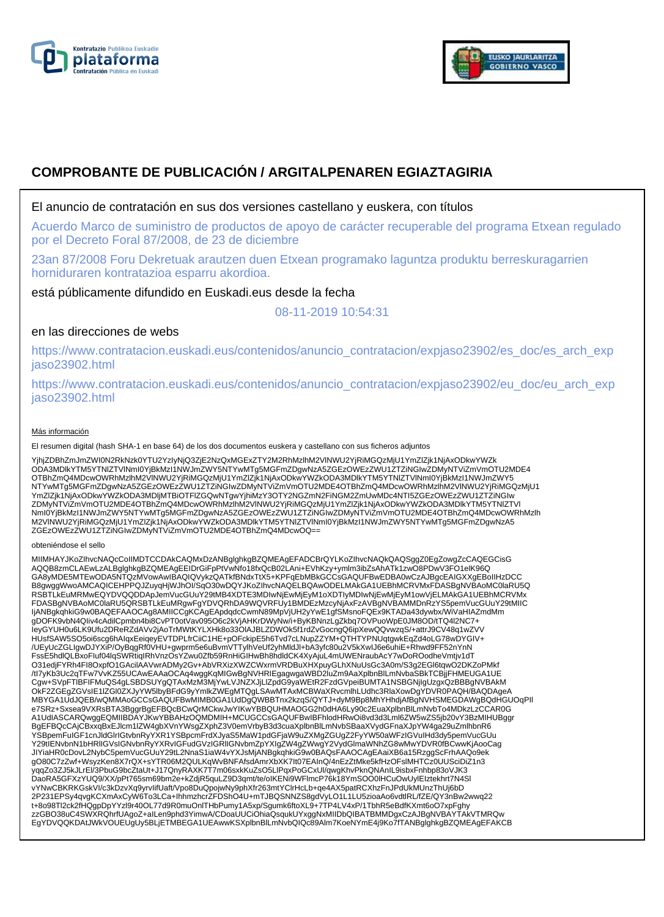



# **COMPROBANTE DE PUBLICACIÓN / ARGITALPENAREN EGIAZTAGIRIA**

### El anuncio de contratación en sus dos versiones castellano y euskera, con títulos

Acuerdo Marco de suministro de productos de apoyo de carácter recuperable del programa Etxean regulado por el Decreto Foral 87/2008, de 23 de diciembre

23an 87/2008 Foru Dekretuak arautzen duen Etxean programako laguntza produktu berreskuragarrien horniduraren kontratazioa esparru akordioa.

está públicamente difundido en Euskadi.eus desde la fecha

08-11-2019 10:54:31

## en las direcciones de webs

https://www.contratacion.euskadi.eus/contenidos/anuncio\_contratacion/expjaso23902/es\_doc/es\_arch\_exp jaso23902.html

https://www.contratacion.euskadi.eus/contenidos/anuncio\_contratacion/expjaso23902/eu\_doc/eu\_arch\_exp jaso23902.html

#### Más información

El resumen digital (hash SHA-1 en base 64) de los dos documentos euskera y castellano con sus ficheros adjuntos

YjhjZDBhZmJmZWI0N2RkNzk0YTU2YzIyNjQ3ZjE2NzQxMGExZTY2M2RhMzlhM2VlNWU2YjRiMGQzMjU1YmZlZjk1NjAxODkwYWZk ODA3MDlkYTM5YTNlZTVlNmI0YjBkMzI1NWJmZWY5NTYwMTg5MGFmZDgwNzA5ZGEzOWEzZWU1ZTZiNGIwZDMyNTViZmVmOTU2MDE4 OTBhZmQ4MDcwOWRhMzlhM2VlNWU2YjRiMGQzMjU1YmZlZjk1NjAxODkwYWZkODA3MDlkYTM5YTNlZTVlNml0YjBkMzI1NWJmZWY5<br>NTYwMTg5MGFmZDgwNzA5ZGEzOWEzZWU1ZTZiNGIwZDMyNTViZmVmOTU2MDE4OTBhZmQ4MDcwOWRhMzlhM2VlNWU2YjRiMGQzMjU1 YmZlZjk1NjAxODkwYWZkODA3MDljMTBiOTFlZGQwNTgwYjhiMzY3OTY2NGZmN2FiNGM2ZmUwMDc4NTI5ZGEzOWEzZWU1ZTZiNGIw ZDMyNTViZmVmOTU2MDE4OTBhZmQ4MDcwOWRhMzlhM2VlNWU2YjRiMGQzMjU1YmZlZjk1NjAxODkwYWZkODA3MDlkYTM5YTNlZTVl NmI0YjBkMzI1NWJmZWY5NTYwMTg5MGFmZDgwNzA5ZGEzOWEzZWU1ZTZiNGIwZDMyNTViZmVmOTU2MDE4OTBhZmQ4MDcwOWRhMzlh M2VlNWU2YjRiMGQzMjU1YmZlZjk1NjAxODkwYWZkODA3MDlkYTM5YTNlZTVlNmI0YjBkMzI1NWJmZWY5NTYwMTg5MGFmZDgwNzA5 ZGEzOWEzZWU1ZTZiNGIwZDMyNTViZmVmOTU2MDE4OTBhZmQ4MDcwOQ==

#### obteniéndose el sello

MIIMHAYJKoZIhvcNAQcCoIIMDTCCDAkCAQMxDzANBglghkgBZQMEAgEFADCBrQYLKoZIhvcNAQkQAQSggZ0EgZowgZcCAQEGCisG AQQB8zmCLAEwLzALBglghkgBZQMEAgEEIDrGiFpPtVwNfo18fxQcB02LAni+EVhKzy+ymlm3ibZsAhATk1zwO8PDwV3FO1elK96Q GA8yMDE5MTEwODA5NTQzMVowAwIBAQIQVykzQATkfBNdxTtX5+KPFqEbMBkGCCsGAQUFBwEDBA0wCzAJBgcEAIGXXgEBoIIHzDCC B8gwggWwoAMCAQICEHPPQJZuyqHjWJhOI/SqO30wDQYJKoZIhvcNAQELBQAwODELMAkGA1UEBhMCRVMxFDASBgNVBAoMC0laRU5Q RSBTLkEuMRMwEQYDVQQDDApJemVucGUuY29tMB4XDTE3MDIwNjEwMjEyM1oXDTIyMDIwNjEwMjEyM1owVjELMAkGA1UEBhMCRVMx<br>FDASBgNVBAoMC0laRU5QRSBTLkEuMRgwFgYDVQRhDA9WQVRFUy1BMDEzMzcyNjAxFzAVBgNVBAMMDnRzYS5pemVucGUuY29tMIIC IjANBgkqhkiG9w0BAQEFAAOCAg8AMIICCgKCAgEApdqdcCwmN89MpVjUH2yYwE1gfSMsnoFQEx9KTADa43dywbx/WiVaHIAZmdMm gDOFK9vbN4QIiv4cAdilCpmbn4bi8CvPT0otVav095O6c2kVjAHKrDWyNw/i+ByKBNnzLgZkbq7OVPuoWpE0JM8OD/tTQ4l2NC7+ IeyGYUH0u6LK9Ufu2DReRZdAVv2jAoTrMWtKYLXHk8o33OlAJBLZDWOk5f1rdZvGocngQ6ipXewQQvwzqS/+attrJ9CV48q1wZVV HUsfSAW5SO5oi6scg6hAIqxEeiqeyEVTDPLfrCiiC1HE+pOFckipE5h6Tvd7cLNupZZYM+QTHTYPNUqtgwkEqZd4oLG78wDYGIV+ /UEyUcZGLIgwDJYXiP/OyBqgRf0VHU+gwprm5e6uBvmVTTylhVeUf2yhMldJl+bA3yfc80u2V5kXwIJ6e6uhiE+Rhwd9FF52nYnN FssE5hdlQLBxoFIuf04lqSWRtiqIRhVnzOsYZwu0Zfb59RnHiGIHwBh8hdldCK4XyAjuL4mUWENraubAcY7wDoROodheVmtjv1dT O31edjFYRh4FI8OxpfO1GAcilAAVwrADMy2Gv+AbVRXizXWZCWxrmVRDBuXHXpuyGLhXNuUsGc3A0m/S3g2EGl6tqwO2DKZoPMkf<br>/tl7yKb3Uc2qTFw7VvKZ55UCAwEAAaOCAq4wggKqMlGwBgNVHRIEgagwgaWBD2luZm9AaXplbnBlLmNvbaSBkTCBjjFHMEUGA1UE Cgw+SVpFTlBFIFMuQS4gLSBDSUYgQTAxMzM3MjYwLVJNZXJjLlZpdG9yaWEtR2FzdGVpeiBUMTA1NSBGNjIgUzgxQzBBBgNVBAkM OkF2ZGEgZGVsIE1lZGl0ZXJyYW5lbyBFdG9yYmlkZWEgMTQgLSAwMTAxMCBWaXRvcmlhLUdhc3RlaXowDgYDVR0PAQH/BAQDAgeA MBYGA1UdJQEB/wQMMAoGCCsGAQUFBwMIMB0GA1UdDgQWBBTnx2kzqS/QYTJ+dyM9Bp8MhYHhdjAfBgNVHSMEGDAWgBQdHGUOqPIl e7SRz+Sxsea9VXRsBTA3BggrBgEFBQcBCwQrMCkwJwYIKwYBBQUHMAOGG2h0dHA6Ly90c2EuaXplbnBlLmNvbTo4MDkzLzCCAR0G A1UdIASCARQwggEQMIIBDAYJKwYBBAHzOQMDMIH+MCUGCCsGAQUFBwIBFhlodHRwOi8vd3d3Lml6ZW5wZS5jb20vY3BzMIHUBggr BgEFBQcCAjCBxxqBxEJlcm1lZW4gbXVnYWsgZXphZ3V0emVrbyB3d3cuaXplbnBlLmNvbSBaaXVydGFnaXJpYW4ga29uZmlhbnR6 YSBpemFuIGF1cnJldGlrIGtvbnRyYXR1YSBpcmFrdXJyaS5MaW1pdGFjaW9uZXMgZGUgZ2FyYW50aWFzIGVuIHd3dy5pemVucGUu<br>Y29tIENvbnN1bHRIIGVsIGNvbnRyYXRvIGFudGVzIGRIIGNvbmZpYXIgZW4gZWwgY2VydGlmaWNhZG8wMwYDVR0fBCwwKjAooCag JIYiaHR0cDovL2NybC5pemVucGUuY29tL2NnaS1iaW4vYXJsMjANBgkqhkiG9w0BAQsFAAOCAgEAaiXB6a15RzggScFrhAAQo9ek gO80C7zZwf+WsyzKen8X7rQX+sYTR06M2QULKqWvBNFAfsdAmrXbXK7It07EAInQ/4nEzZtMke5kfHzOFslMHTCz0UUSciDiZ1n3 yqqZo3ZJ5kJLrEl/3PbuG9bcZtaUt+J17QnyRAXK7T7m06sxkKuZsO5LlPqxPoGCxUl/qwgKhvPknQNAnIL9isbxFnhbp83oVJK3<br>DaoRA5GFXzYUQ9/XX/pPt765sm69bm2e+kZdjR5quLZ9D3qmt/te/oIKENi9WFlmcP76k18YmSOO0lHCuOwUylEIztekhrt7N4Sl vYNwCBKRKGskVI/c3kDzvXq9yrvIifUaft/Vpo8DuQpojwNy9phXfr263mtYClrHcLb+qe4AX5patRCXhzFnJPdUkMUnzThUj6bD 2P231EPSy4qvgKCXmAxCyW6To3LCa+IhhmzhcrZFDShO4U+mTJBQSNNZS8gdVyLO1L1LU5zioaAo6vdtlRL/fZE/QY3nBw2wwq22<br>t+8o98Tl2ck2fHQgpDpYYzl9r40OL77d9R0muOnlTHbPumy1A5xp/Sgumk6ftoXL9+7TP4LV4xP/1TbhR5eBdfKXmt6oO7xpFghy<br>zzGBO38uC4SWXRQhrfUA EgYDVQQKDAtJWkVOUEUgUy5BLjETMBEGA1UEAwwKSXplbnBlLmNvbQIQc89Alm7KoeNYmE4j9Ko7fTANBglghkgBZQMEAgEFAKCB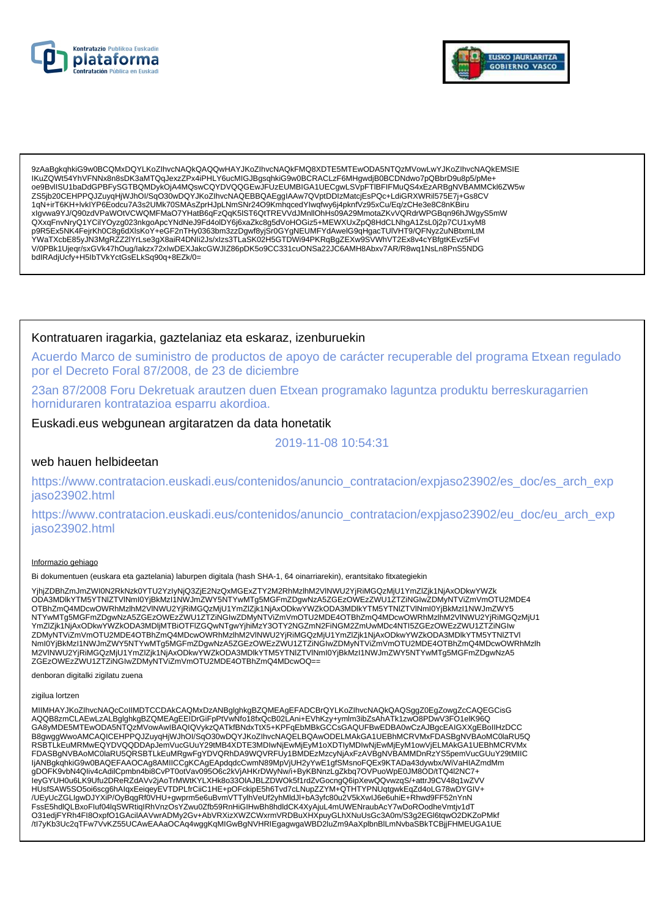



9zAaBqkqhkiG9w0BCQMxDQYLKoZIhvcNAQkQAQQwHAYJKoZIhvcNAQkFMQ8XDTE5MTEwODA5NTQzMVowLwYJKoZIhvcNAQkEMSIE IKuZQWt54YhVFNNx8n8sDK3aMTQqJexzZPx4iPHLY6ucMIGJBgsqhkiG9w0BCRACLzF6MHgwdjB0BCDNdwo7pQBbrD9u8p5/pMe+ oe9BvlISU1baDdGPBFySGTBQMDykOjA4MQswCQYDVQQGEwJFUzEUMBIGA1UECgwLSVpFTIBFIFMuQS4xEzARBgNVBAMMCkl6ZW5w ZS5jb20CEHPPQJZuyqHjWJhOl/SqO30wDQYJKoZlhvcNAQEBBQAEgglAAw7QVptDDIzMatcjEsPQc+LdiGRXWRil575E7j+Gs8CV 1qN+irT6KH+lvklYP6Eodcu7A3s2UMk70SMAsZprHJpLNmSNr24O9KmhqcedYlwqfwy6j4pknfVz95xCu/Eq/zCHe3e8C8nKBiru xlgvwa9YJ/Q90zdVPaWOtVCWQMFMaO7YHatB6qFzQqK5lST6QtTREVVdJMnllOhHs09A29MmotaZKvVQRdrWPGBqn96hJWgyS5mW QXxqFnvNryQ1YCilYOyzg023nkgoApcYNdNeJ9Fd4oIDY6j6xaZkc8g5dVoHOGiz5+MEWXUxZpQ8HdCLNhgA1ZsL0j2p7CU1xyM8<br>p9R5Ex5NK4FejrKh0C8g6dXlsKoY+eGF2nTHy0363bm3zzDgwf8yjSr0GYgNEUMFYdAwelG9qHgacTUlVHT9/QFNyz2uNBtxmLtM איז אפוויזיקי פון הייטראפיזישער איז אפוויטריפן איז אפוויטריפן איז אפוויטריפן איז אפוויטריפן איז אפוויזיקי פון<br>YWaTXcbE85yJN3MgRZZ2lYrLse3gX8aiR4DNIi2Js/xlzs3TLaSK02H5GTDWi94PKRqBgZEXw9SVWhVT2Ex8v4cYBfgtKEvz5FvI<br>V/0PBk1Uje bdlRAdjUcfy+H5lbTVkYctGsELkSq90q+8EZk/0=

### Kontratuaren iragarkia, gaztelaniaz eta eskaraz, izenburuekin

Acuerdo Marco de suministro de productos de apoyo de carácter recuperable del programa Etxean regulado por el Decreto Foral 87/2008, de 23 de diciembre

23an 87/2008 Foru Dekretuak arautzen duen Etxean programako laguntza produktu berreskuragarrien horniduraren kontratazioa esparru akordioa.

### Euskadi.eus webgunean argitaratzen da data honetatik

2019-11-08 10:54:31

#### web hauen helbideetan

https://www.contratacion.euskadi.eus/contenidos/anuncio\_contratacion/expjaso23902/es\_doc/es\_arch\_exp jaso23902.html

https://www.contratacion.euskadi.eus/contenidos/anuncio contratacion/expjaso23902/eu doc/eu arch exp jaso23902.html

#### Informazio gehiago

Bi dokumentuen (euskara eta gaztelania) laburpen digitala (hash SHA-1, 64 oinarriarekin), erantsitako fitxategiekin

YjhjZDBhZmJmZWI0N2RkNzk0YTU2YzIyNjQ3ZjE2NzQxMGExZTY2M2RhMzIhM2VINWU2YjRiMGQzMjU1YmZlZjk1NjAxODkwYWZk ODA3MDIkYTM5YTNIZTVINmI0YjBkMzI1NWJmZWY5NTYwMTq5MGFmZDqwNzA5ZGEzOWEzZWU1ZTZiNGIwZDMyNTViZmVmOTU2MDE4 OTBhZmQ4MDcwOWRhMzIhM2VINWU2YjRiMGQzMjU1YmZlZjk1NjAxODkwYWZkODA3MDlkYTM5YTNlZTVINml0YjBkMzl1NWJmZWY5 NTYwMTg5MGFmZDgwNzA5ZGEzOWEzZWU1ZTZINGIwZDMyNTViZmVmOTU2MDE4OTBhZmQ4MDcwOWRhMzInM2VINWU2YjRiMGQzMjU1 YmZlZjk1NjAxODkwYWZkODA3MDIjMTBiOTFIZGQwNTgwYjhiMzY3OTY2NGZmN2FiNGM2ZmUwMDc4NTI5ZGEzOWEzZWU1ZTZiNGIw ZDMyNTViZmVmOTU2MDE4OTBhZmQ4MDcwOWRhMzIhM2VINWU2YjRiMGQzMjU1YmZlZjk1NjAxODkwYWZkODA3MDlkYTM5YTNIZTVI Nml0YjBkMzI1NWJmZWY5NTYwMTg5MGFmZDgwNzA5ZGEzOWEzZWU1ZTZiNGlwZDMyNTViZmVmOTU2MDE4OTBhZmQ4MDcwOWRhMzlh<br>M2VINWU2YjRiMGQzMjU1YmZlZjk1NjAxODkwYWZkODA3MDlkYTM5YTNlZTVlNml0YjBkMzI1NWJmZWY5NTYwMTg5MGFmZDgwNzA5 ZGEzOWEzZWU1ZTZiNGIwZDMyNTViZmVmOTU2MDE4OTBhZmQ4MDcwOQ==

denboran digitalki zigilatu zuena

#### zigilua lortzen

MIIMHAYJKoZIhvcNAQcCoIIMDTCCDAkCAQMxDzANBglghkgBZQMEAgEFADCBrQYLKoZIhvcNAQkQAQSggZ0EgZowgZcCAQEGCisG AQQB8zmCLAEwLzALBglghkgBZQMEAgEEIDrGiFpPtVwNfo18fxQcB02LAni+EVhKzy+ymlm3ibZsAhATk1zwO8PDwV3FO1eIK96Q GA8yMDE5MTEwODA5NTQzMVowAwIBAQIQVykzQATkfBNdxTtX5+KPFqEbMBkGCCsGAQUFBwEDBA0wCzAJBgcEAIGXXgEBoIIHzDCC B8gwggWwoAMCAQICEHPPQJZuyqHjWJhOI/SqO30wDQYJKoZIhvcNAQELBQAwODELMAkGA1UEBhMCRVMxFDASBgNVBAoMC0laRU5Q RSBTLKEuMRMwEQYDVQQDDApJemVucGUuY29tMB4XDTE3MDlwNjEwMjEyM1oXDTIyMDlwNjEwMjEyM1owVjELMAkGA1UEBhMCRVMx<br>FDASBgNVBAoMC0laRU5QRSBTLkEuMRgwFgYDVQRhDA9WQVRFUy1BMDEzMzcyNjAxFzAVBgNVBAMMDnRzYS5pemVucGUuY29tMIIC ljANBgkqhkiG9w0BAQEFAAOCAg8AMIICCgKCAgEApdqdcCwmN89MpVjUH2yYwE1gfSMsnoFQEx9KTADa43dywbx/WiVaHIAZmdMm<br>gDOFK9vbN4Qliv4cAdilCpmbn4bi8CvPT0otVav095O6c2kVjAHKrDWyNw/i+ByKBNnzLgZkbq7OVPuoWpE0JM8OD/tTQ4l2NC7+ leyGYUH0u6LK9Ufu2DReRZdAVv2jAoTrMWtKYLXHk8o33OIAJBLZDWOk5f1rdZvGocngQ6ipXewQQvwzqS/+attrJ9CV48q1wZVV HUsfSAW5SO5oi6scg6hAlqxEeiqeyEVTDPLfrCiiC1HE+pOFckipE5h6Tvd7cLNupZZYM+QTHTYPNUqtgwkEqZd4oLG78wDYGIV+ /UEyUcZGLIgwDJYXiP/OyBqqRf0VHU+gwprm5e6uBvmVTTylhVeUf2yhMldJl+bA3yfc80u2V5kXwIJ6e6uhiE+Rhwd9FF52nYnN FssE5hdlQLBxoFluf04lqSWRtiqIRhVnzOsYZwu0Zfb59RnHiGIHwBh8hdldCK4XyAjuL4mUWENraubAcY7wDoROodheVmtjv1dT O31edjFYRh4Fl8OxpfO1GAcilAAVwrADMy2Gv+AbVRXizXWZCWxrmVRDBuXHXpuyGLhXNuUsGc3A0m/S3g2EGl6tqwO2DKZoPMkf /tl7yKb3Uc2qTFw7VvKZ55UCAwEAAaOCAq4wggKqMIGwBgNVHRIEgagwgaWBD2IuZm9AaXplbnBlLmNvbaSBkTCBjjFHMEUGA1UE